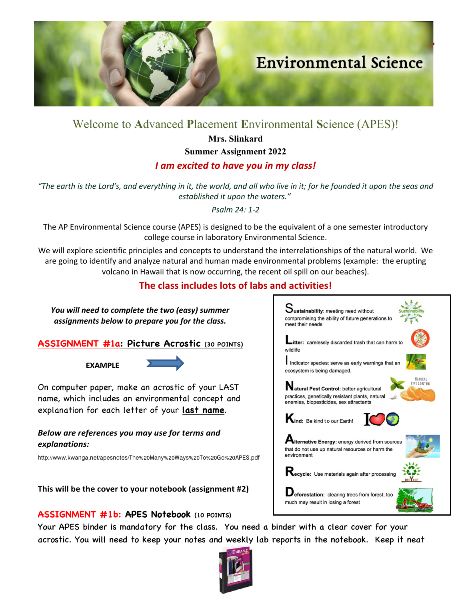

# Welcome to **A**dvanced **P**lacement **E**nvironmental **S**cience (APES)!

**Mrs. Slinkard**

**Summer Assignment 2022**

# *I am excited to have you in my class!*

*"The earth is the Lordʹs, and everything in it, the world, and all who live in it; for he founded it upon the seas and established it upon the waters."*

*Psalm 24: 1-2*

The AP Environmental Science course (APES) is designed to be the equivalent of a one semester introductory college course in laboratory Environmental Science.

We will explore scientific principles and concepts to understand the interrelationships of the natural world. We are going to identify and analyze natural and human made environmental problems (example: the erupting volcano in Hawaii that is now occurring, the recent oil spill on our beaches).

# **The class includes lots of labs and activities!**

*You will need to complete the two (easy) summer assignments below to prepare you for the class.*

**ASSIGNMENT #1a: Picture Acrostic (30 POINTS)**

 **EXAMPLE** 



On computer paper, make an acrostic of your LAST name, which includes an environmental concept and explanation for each letter of your **last name**.

# *Below are references you may use for terms and explanations:*

http://www.kwanga.net/apesnotes/The%20Many%20Ways%20To%20Go%20APES.pdf

**This will be the cover to your notebook (assignment #2)**

# **ASSIGNMENT #1b: APES Notebook (10 POINTS)**

Your APES binder is mandatory for the class. You need a binder with a clear cover for your acrostic. You will need to keep your notes and weekly lab reports in the notebook. Keep it neat













Deforestation: clearing trees from forest; too much may result in losing a forest

environment